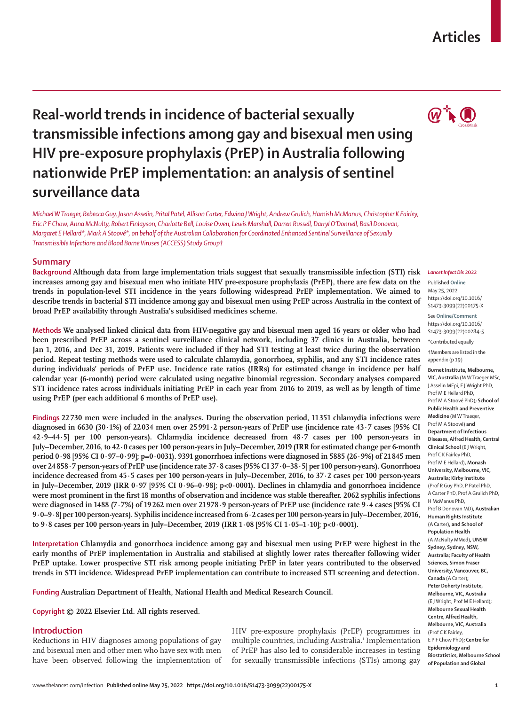## www.thelancet.com/infection **Published online May 25, 2022 https://doi.org/10.1016/S1473-3099(22)00175-X 1**

# **Real-world trends in incidence of bacterial sexually transmissible infections among gay and bisexual men using HIV pre-exposure prophylaxis (PrEP) in Australia following nationwide PrEP implementation: an analysis of sentinel surveillance data**

*Michael W Traeger, Rebecca Guy, Jason Asselin, Prital Patel, Allison Carter, Edwina JWright, Andrew Grulich, Hamish McManus, Christopher K Fairley, Eric P F Chow, Anna McNulty, Robert Finlayson, Charlotte Bell, Louise Owen, Lewis Marshall, Darren Russell, Darryl O'Donnell, Basil Donovan, Margaret E Hellard\*, Mark A Stoové\*, on behalf of the Australian Collaboration for Coordinated Enhanced Sentinel Surveillance of Sexually Transmissible Infections and Blood Borne Viruses (ACCESS) Study Group†*

# **Summary**

**Background Although data from large implementation trials suggest that sexually transmissible infection (STI) risk increases among gay and bisexual men who initiate HIV pre-exposure prophylaxis (PrEP), there are few data on the trends in population-level STI incidence in the years following widespread PrEP implementation. We aimed to describe trends in bacterial STI incidence among gay and bisexual men using PrEP across Australia in the context of broad PrEP availability through Australia's subsidised medicines scheme.**

**Methods We analysed linked clinical data from HIV-negative gay and bisexual men aged 16 years or older who had been prescribed PrEP across a sentinel surveillance clinical network, including 37 clinics in Australia, between Jan 1, 2016, and Dec 31, 2019. Patients were included if they had STI testing at least twice during the observation period. Repeat testing methods were used to calculate chlamydia, gonorrhoea, syphilis, and any STI incidence rates during individuals' periods of PrEP use. Incidence rate ratios (IRRs) for estimated change in incidence per half calendar year (6-month) period were calculated using negative binomial regression. Secondary analyses compared STI incidence rates across individuals initiating PrEP in each year from 2016 to 2019, as well as by length of time using PrEP (per each additional 6 months of PrEP use).**

**Findings 22730 men were included in the analyses. During the observation period, 11351 chlamydia infections were diagnosed in 6630 (30·1%) of 22034 men over 25991·2 person-years of PrEP use (incidence rate 43·7 cases [95% CI 42·9–44·5] per 100 person-years). Chlamydia incidence decreased from 48·7 cases per 100 person-years in July–December, 2016, to 42·0 cases per 100 person-years in July–December, 2019 (IRR for estimated change per 6-month period 0·98 [95% CI 0·97–0·99]; p=0·0031). 9391 gonorrhoea infections were diagnosed in 5885 (26·9%) of 21845 men over 24858·7 person-years of PrEP use (incidence rate 37·8 cases [95% CI 37·0–38·5] per 100 person-years). Gonorrhoea incidence decreased from 45·5 cases per 100 person-years in July–December, 2016, to 37·2 cases per 100 person-years in July–December, 2019 (IRR 0·97 [95% CI 0·96–0·98]; p<0·0001). Declines in chlamydia and gonorrhoea incidence were most prominent in the first 18 months of observation and incidence was stable thereafter. 2062 syphilis infections were diagnosed in 1488 (7·7%) of 19262 men over 21978·9 person-years of PrEP use (incidence rate 9·4 cases [95% CI 9·0–9·8] per 100 person-years). Syphilis incidence increased from 6·2 cases per 100 person-years in July–December, 2016, to 9·8 cases per 100 person-years in July–December, 2019 (IRR 1·08 [95% CI 1·05–1·10]; p<0·0001).**

**Interpretation Chlamydia and gonorrhoea incidence among gay and bisexual men using PrEP were highest in the early months of PrEP implementation in Australia and stabilised at slightly lower rates thereafter following wider PrEP uptake. Lower prospective STI risk among people initiating PrEP in later years contributed to the observed trends in STI incidence. Widespread PrEP implementation can contribute to increased STI screening and detection.**

**Funding Australian Department of Health, National Health and Medical Research Council.**

**Copyright © 2022 Elsevier Ltd. All rights reserved.**

# **Introduction**

Reductions in HIV diagnoses among populations of gay and bisexual men and other men who have sex with men have been observed following the implementation of HIV pre-exposure prophylaxis (PrEP) programmes in multiple countries, including Australia.<sup>1</sup> Implementation of PrEP has also led to considerable increases in testing for sexually transmissible infections (STIs) among gay

## *Lancet Infect Dis* **2022**

Published **Online** May 25, 2022 https://doi.org/10.1016/ S1473-3099(22)00175-X

See**Online/Comment** https://doi.org/10.1016/ S1473-3099(22)00284-5

**\***Contributed equally †Members are listed in the

appendix (p 19)

**Burnet Institute, Melbourne, VIC, Australia** (M W Traeger MSc, J Asselin MEpi, E J Wright PhD, Prof M E Hellard PhD, Prof M A Stoové PhD)**; School of Public Health and Preventive Medicine** (M W Traeger, Prof M A Stoové) **and Department of Infectious Diseases, Alfred Health, Central Clinical School** (E J Wright, Prof C K Fairley PhD, Prof M E Hellard)**, Monash University, Melbourne, VIC, Australia; Kirby Institute**  (Prof R Guy PhD, P Patel PhD, A Carter PhD, Prof A Grulich PhD, H McManus PhD, Prof B Donovan MD)**, Australian Human Rights Institute**  (A Carter)**, and School of Population Health**  (A McNulty MMed)**, UNSW Sydney, Sydney, NSW, Australia; Faculty of Health Sciences, Simon Fraser University, Vancouver, BC, Canada** (A Carter)**; Peter Doherty Institute, Melbourne, VIC, Australia**  (E J Wright, Prof M E Hellard)**; Melbourne Sexual Health Centre, Alfred Health, Melbourne, VIC, Australia**  (Prof C K Fairley, E P F Chow PhD)**; Centre for Epidemiology and Biostatistics, Melbourne School of Population and Global** 

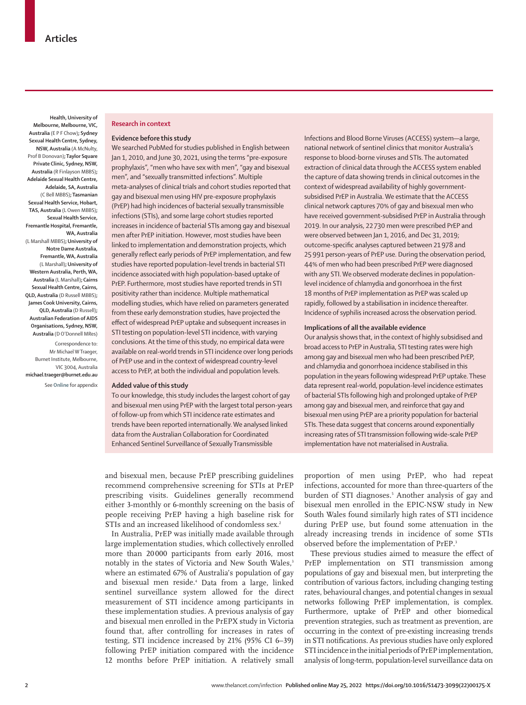**Health, University of Melbourne, Melbourne, VIC, Australia** (E P F Chow)**; Sydney Sexual Health Centre, Sydney, NSW, Australia** (A McNulty, Prof B Donovan)**; Taylor Square Private Clinic, Sydney, NSW, Australia** (R Finlayson MBBS)**; Adelaide Sexual Health Centre, Adelaide, SA, Australia**  (C Bell MBBS)**; Tasmanian Sexual Health Service, Hobart, TAS, Australia** (L Owen MBBS)**; Sexual Health Service, Fremantle Hospital, Fremantle, WA, Australia**  (L Marshall MBBS)**; University of Notre Dame Australia, Fremantle, WA, Australia**  (L Marshall)**; University of Western Australia, Perth, WA, Australia** (L Marshall)**; Cairns Sexual Health Centre, Cairns, QLD, Australia** (D Russell MBBS)**; James Cook University, Cairns, QLD, Australia** (D Russell)**; Australian Federation of AIDS Organisations, Sydney, NSW, Australia** (D O'Donnell MRes)

Correspondence to: Mr Michael W Traeger, Burnet Institute, Melbourne, VIC 3004, Australia **michael.traeger@burnet.edu.au**

See **Online** for appendix

#### **Research in context**

# **Evidence before this study**

We searched PubMed for studies published in English between Jan 1, 2010, and June 30, 2021, using the terms "pre-exposure prophylaxis", "men who have sex with men", "gay and bisexual men", and "sexually transmitted infections". Multiple meta-analyses of clinical trials and cohort studies reported that gay and bisexual men using HIV pre-exposure prophylaxis (PrEP) had high incidences of bacterial sexually transmissible infections (STIs), and some large cohort studies reported increases in incidence of bacterial STIs among gay and bisexual men after PrEP initiation. However, most studies have been linked to implementation and demonstration projects, which generally reflect early periods of PrEP implementation, and few studies have reported population-level trends in bacterial STI incidence associated with high population-based uptake of PrEP. Furthermore, most studies have reported trends in STI positivity rather than incidence. Multiple mathematical modelling studies, which have relied on parameters generated from these early demonstration studies, have projected the effect of widespread PrEP uptake and subsequent increases in STI testing on population-level STI incidence, with varying conclusions. At the time of this study, no empirical data were available on real-world trends in STI incidence over long periods of PrEP use and in the context of widespread country-level access to PrEP, at both the individual and population levels.

# **Added value of this study**

To our knowledge, this study includes the largest cohort of gay and bisexual men using PrEP with the largest total person-years of follow-up from which STI incidence rate estimates and trends have been reported internationally. We analysed linked data from the Australian Collaboration for Coordinated Enhanced Sentinel Surveillance of Sexually Transmissible

Infections and Blood Borne Viruses (ACCESS) system—a large, national network of sentinel clinics that monitor Australia's response to blood-borne viruses and STIs. The automated extraction of clinical data through the ACCESS system enabled the capture of data showing trends in clinical outcomes in the context of widespread availability of highly governmentsubsidised PrEP in Australia. We estimate that the ACCESS clinical network captures 70% of gay and bisexual men who have received government-subsidised PrEP in Australia through 2019. In our analysis, 22 730 men were prescribed PrEP and were observed between Jan 1, 2016, and Dec 31, 2019; outcome-specific analyses captured between 21978 and 25991 person-years of PrEP use. During the observation period, 44% of men who had been prescribed PrEP were diagnosed with any STI. We observed moderate declines in populationlevel incidence of chlamydia and gonorrhoea in the first 18 months of PrEP implementation as PrEP was scaled up rapidly, followed by a stabilisation in incidence thereafter. Incidence of syphilis increased across the observation period.

## **Implications of all the available evidence**

Our analysis shows that, in the context of highly subsidised and broad access to PrEP in Australia, STI testing rates were high among gay and bisexual men who had been prescribed PrEP, and chlamydia and gonorrhoea incidence stabilised in this population in the years following widespread PrEP uptake. These data represent real-world, population-level incidence estimates of bacterial STIs following high and prolonged uptake of PrEP among gay and bisexual men, and reinforce that gay and bisexual men using PrEP are a priority population for bacterial STIs. These data suggest that concerns around exponentially increasing rates of STI transmission following wide-scale PrEP implementation have not materialised in Australia.

and bisexual men, because PrEP prescribing guidelines recommend comprehensive screening for STIs at PrEP prescribing visits. Guidelines generally recommend either 3-monthly or 6-monthly screening on the basis of people receiving PrEP having a high baseline risk for STIs and an increased likelihood of condomless sex.<sup>2</sup>

In Australia, PrEP was initially made available through large implementation studies, which collectively enrolled more than 20000 participants from early 2016, most notably in the states of Victoria and New South Wales,<sup>3</sup> where an estimated 67% of Australia's population of gay and bisexual men reside.4 Data from a large, linked sentinel surveillance system allowed for the direct measurement of STI incidence among participants in these implementation studies. A previous analysis of gay and bisexual men enrolled in the PrEPX study in Victoria found that, after controlling for increases in rates of testing, STI incidence increased by 21% (95% CI 6–39) following PrEP initiation compared with the incidence 12 months before PrEP initiation. A relatively small

proportion of men using PrEP, who had repeat infections, accounted for more than three-quarters of the burden of STI diagnoses.<sup>5</sup> Another analysis of gay and bisexual men enrolled in the EPIC-NSW study in New South Wales found similarly high rates of STI incidence during PrEP use, but found some attenuation in the already increasing trends in incidence of some STIs observed before the implementation of PrEP.<sup>3</sup>

These previous studies aimed to measure the effect of PrEP implementation on STI transmission among populations of gay and bisexual men, but interpreting the contribution of various factors, including changing testing rates, behavioural changes, and potential changes in sexual networks following PrEP implementation, is complex. Furthermore, uptake of PrEP and other biomedical prevention strategies, such as treatment as prevention, are occurring in the context of pre-existing increasing trends in STI notifications. As previous studies have only explored STI incidence in the initial periods of PrEP implementation, analysis of long-term, population-level surveillance data on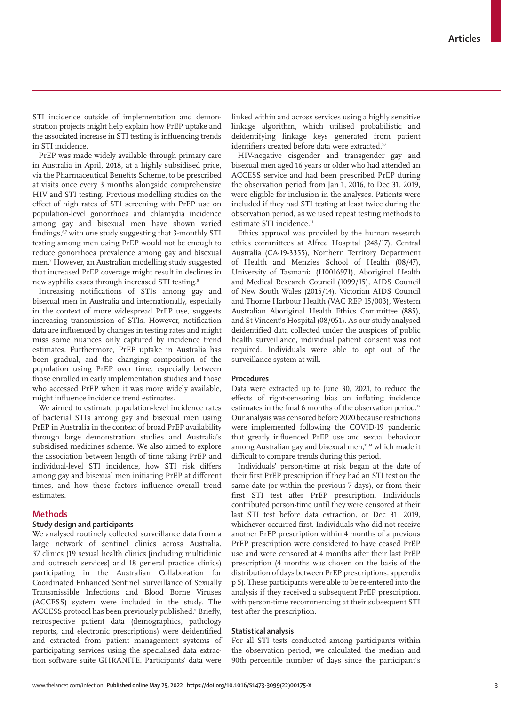new syphilis cases through increased STI testing.<sup>8</sup> Increasing notifications of STIs among gay and bisexual men in Australia and internationally, especially

STI incidence outside of implementation and demonstration projects might help explain how PrEP uptake and the associated increase in STI testing is influencing trends

PrEP was made widely available through primary care in Australia in April, 2018, at a highly subsidised price, via the Pharmaceutical Benefits Scheme, to be prescribed at visits once every 3 months alongside comprehensive HIV and STI testing. Previous modelling studies on the effect of high rates of STI screening with PrEP use on population-level gonorrhoea and chlamydia incidence among gay and bisexual men have shown varied findings, $67$  with one study suggesting that 3-monthly STI testing among men using PrEP would not be enough to reduce gonorrhoea prevalence among gay and bisexual men.7 However, an Australian modelling study suggested that increased PrEP coverage might result in declines in

in STI incidence.

in the context of more widespread PrEP use, suggests increasing transmission of STIs. However, notification data are influenced by changes in testing rates and might miss some nuances only captured by incidence trend estimates. Furthermore, PrEP uptake in Australia has been gradual, and the changing composition of the population using PrEP over time, especially between those enrolled in early implementation studies and those who accessed PrEP when it was more widely available, might influence incidence trend estimates.

We aimed to estimate population-level incidence rates of bacterial STIs among gay and bisexual men using PrEP in Australia in the context of broad PrEP availability through large demonstration studies and Australia's subsidised medicines scheme. We also aimed to explore the association between length of time taking PrEP and individual-level STI incidence, how STI risk differs among gay and bisexual men initiating PrEP at different times, and how these factors influence overall trend estimates.

# **Methods**

# **Study design and participants**

We analysed routinely collected surveillance data from a large network of sentinel clinics across Australia. 37 clinics (19 sexual health clinics [including multiclinic and outreach services] and 18 general practice clinics) participating in the Australian Collaboration for Coordinated Enhanced Sentinel Surveillance of Sexually Transmissible Infections and Blood Borne Viruses (ACCESS) system were included in the study. The ACCESS protocol has been previously published.<sup>9</sup> Briefly, retrospective patient data (demographics, pathology reports, and electronic prescriptions) were deidentified and extracted from patient management systems of participating services using the specialised data extraction software suite GHRANITE. Participants' data were

linked within and across services using a highly sensitive linkage algorithm, which utilised probabilistic and deidentifying linkage keys generated from patient identifiers created before data were extracted.<sup>10</sup>

HIV-negative cisgender and transgender gay and bisexual men aged 16 years or older who had attended an ACCESS service and had been prescribed PrEP during the observation period from Jan 1, 2016, to Dec 31, 2019, were eligible for inclusion in the analyses. Patients were included if they had STI testing at least twice during the observation period, as we used repeat testing methods to estimate STI incidence.<sup>11</sup>

Ethics approval was provided by the human research ethics committees at Alfred Hospital (248/17), Central Australia (CA-19-3355), Northern Territory Department of Health and Menzies School of Health (08/47), University of Tasmania (H0016971), Aboriginal Health and Medical Research Council (1099/15), AIDS Council of New South Wales (2015/14), Victorian AIDS Council and Thorne Harbour Health (VAC REP 15/003), Western Australian Aboriginal Health Ethics Committee (885), and St Vincent's Hospital (08/051). As our study analysed deidentified data collected under the auspices of public health surveillance, individual patient consent was not required. Individuals were able to opt out of the surveillance system at will.

# **Procedures**

Data were extracted up to June 30, 2021, to reduce the effects of right-censoring bias on inflating incidence estimates in the final 6 months of the observation period.<sup>12</sup> Our analysis was censored before 2020 because restrictions were implemented following the COVID-19 pandemic that greatly influenced PrEP use and sexual behaviour among Australian gay and bisexual men,13,14 which made it difficult to compare trends during this period.

Individuals' person-time at risk began at the date of their first PrEP prescription if they had an STI test on the same date (or within the previous 7 days), or from their first STI test after PrEP prescription. Individuals contributed person-time until they were censored at their last STI test before data extraction, or Dec 31, 2019, whichever occurred first. Individuals who did not receive another PrEP prescription within 4 months of a previous PrEP prescription were considered to have ceased PrEP use and were censored at 4 months after their last PrEP prescription (4 months was chosen on the basis of the distribution of days between PrEP prescriptions; appendix p 5). These participants were able to be re-entered into the analysis if they received a subsequent PrEP prescription, with person-time recommencing at their subsequent STI test after the prescription.

# **Statistical analysis**

For all STI tests conducted among participants within the observation period, we calculated the median and 90th percentile number of days since the participant's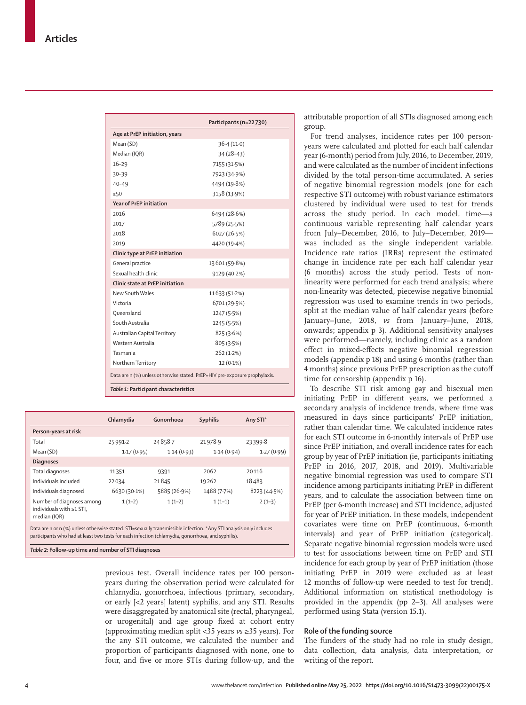|                                                                            | Participants (n=22730) |
|----------------------------------------------------------------------------|------------------------|
| Age at PrEP initiation, years                                              |                        |
| Mean (SD)                                                                  | 36.4(11.0)             |
| Median (IQR)                                                               | $34(28-43)$            |
| $16 - 29$                                                                  | 7155 (31.5%)           |
| $30 - 39$                                                                  | 7923 (34.9%)           |
| $40 - 49$                                                                  | 4494 (19.8%)           |
| $\geq 50$                                                                  | 3158 (13.9%)           |
| <b>Year of PrEP initiation</b>                                             |                        |
| 2016                                                                       | 6494 (28.6%)           |
| 2017                                                                       | 5789 (25.5%)           |
| 2018                                                                       | 6027 (26.5%)           |
| 2019                                                                       | 4420 (19.4%)           |
| Clinic type at PrEP initiation                                             |                        |
| General practice                                                           | 13601 (59.8%)          |
| Sexual health clinic                                                       | 9129 (40.2%)           |
| Clinic state at PrFP initiation                                            |                        |
| New South Wales                                                            | 11633 (51.2%)          |
| Victoria                                                                   | 6701 (29.5%)           |
| Oueensland                                                                 | 1247 (5.5%)            |
| South Australia                                                            | 1245 (5.5%)            |
| Australian Capital Territory                                               | 825(3.6%)              |
| Western Australia                                                          | 805 (3.5%)             |
| Tasmania                                                                   | 262 (1.2%)             |
| Northern Territory                                                         | $12(0.1\%)$            |
| Data are n (%) unless otherwise stated. PrEP=HIV pre-exposure prophylaxis. |                        |
| Table 1: Participant characteristics                                       |                        |

|                                                                                                                                                                                                                         | Chlamydia    | Gonorrhoea   | <b>Syphilis</b> | Any STI*    |
|-------------------------------------------------------------------------------------------------------------------------------------------------------------------------------------------------------------------------|--------------|--------------|-----------------|-------------|
| Person-years at risk                                                                                                                                                                                                    |              |              |                 |             |
| Total                                                                                                                                                                                                                   | 25991-2      | 24858.7      | 21978.9         | 23399.8     |
| Mean (SD)                                                                                                                                                                                                               | 1.17(0.95)   | 1.14(0.93)   | 1.14(0.94)      | 1.27(0.99)  |
| <b>Diagnoses</b>                                                                                                                                                                                                        |              |              |                 |             |
| Total diagnoses                                                                                                                                                                                                         | 11351        | 9391         | 2062            | 20116       |
| Individuals included                                                                                                                                                                                                    | 22034        | 21845        | 19262           | 18483       |
| Individuals diagnosed                                                                                                                                                                                                   | 6630 (30.1%) | 5885 (26.9%) | 1488 (7.7%)     | 8223(44.5%) |
| Number of diagnoses among<br>individuals with $\geq 1$ STI.<br>median (IQR)                                                                                                                                             | $1(1-2)$     | $1(1-2)$     | $1(1-1)$        | $2(1-3)$    |
| Data are n or n (%) unless otherwise stated. STI=sexually transmissible infection. *Any STI analysis only includes<br>participants who had at least two tests for each infection (chlamydia, gonorrhoea, and syphilis). |              |              |                 |             |

*Table 2:* **Follow-up time and number of STI diagnoses**

previous test. Overall incidence rates per 100 personyears during the observation period were calculated for chlamydia, gonorrhoea, infectious (primary, secondary, or early [<2 years] latent) syphilis, and any STI. Results were disaggregated by anatomical site (rectal, pharyngeal, or urogenital) and age group fixed at cohort entry (approximating median split <35 years *vs* ≥35 years). For the any STI outcome, we calculated the number and proportion of participants diagnosed with none, one to four, and five or more STIs during follow-up, and the attributable proportion of all STIs diagnosed among each group.

For trend analyses, incidence rates per 100 personyears were calculated and plotted for each half calendar year (6-month) period from July, 2016, to December, 2019, and were calculated as the number of incident infections divided by the total person-time accumulated. A series of negative binomial regression models (one for each respective STI outcome) with robust variance estimators clustered by individual were used to test for trends across the study period. In each model, time—a continuous variable representing half calendar years from July–December, 2016, to July–December, 2019 was included as the single independent variable. Incidence rate ratios (IRRs) represent the estimated change in incidence rate per each half calendar year (6 months) across the study period. Tests of nonlinearity were performed for each trend analysis; where non-linearity was detected, piecewise negative binomial regression was used to examine trends in two periods, split at the median value of half calendar years (before January–June, 2018, *vs* from January–June, 2018, onwards; appendix p 3). Additional sensitivity analyses were performed—namely, including clinic as a random effect in mixed-effects negative binomial regression models (appendix p 18) and using 6 months (rather than 4 months) since previous PrEP prescription as the cutoff time for censorship (appendix p 16).

To describe STI risk among gay and bisexual men initiating PrEP in different years, we performed a secondary analysis of incidence trends, where time was measured in days since participants' PrEP initiation, rather than calendar time. We calculated incidence rates for each STI outcome in 6-monthly intervals of PrEP use since PrEP initiation, and overall incidence rates for each group by year of PrEP initiation (ie, participants initiating PrEP in 2016, 2017, 2018, and 2019). Multivariable negative binomial regression was used to compare STI incidence among participants initiating PrEP in different years, and to calculate the association between time on PrEP (per 6-month increase) and STI incidence, adjusted for year of PrEP initiation. In these models, independent covariates were time on PrEP (continuous, 6-month intervals) and year of PrEP initiation (categorical). Separate negative binomial regression models were used to test for associations between time on PrEP and STI incidence for each group by year of PrEP initiation (those initiating PrEP in 2019 were excluded as at least 12 months of follow-up were needed to test for trend). Additional information on statistical methodology is provided in the appendix (pp 2–3). All analyses were performed using Stata (version 15.1).

# **Role of the funding source**

The funders of the study had no role in study design, data collection, data analysis, data interpretation, or writing of the report.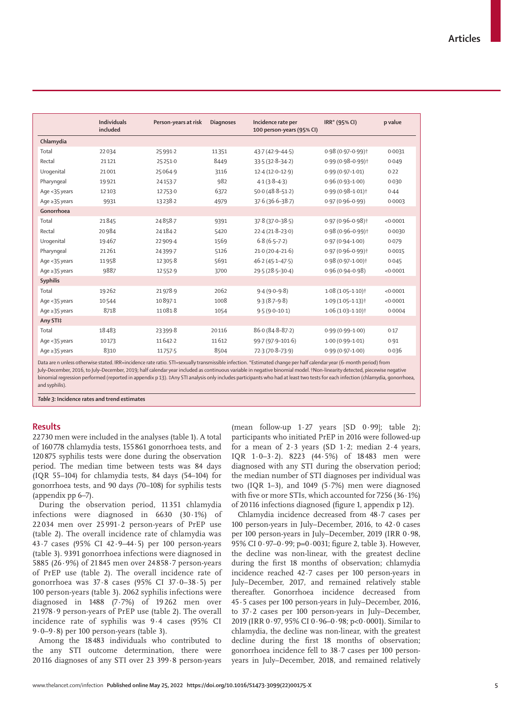|                     | <b>Individuals</b><br>included | Person-years at risk | <b>Diagnoses</b> | Incidence rate per<br>100 person-years (95% CI) | IRR* (95% CI)                    | p value  |
|---------------------|--------------------------------|----------------------|------------------|-------------------------------------------------|----------------------------------|----------|
| Chlamydia           |                                |                      |                  |                                                 |                                  |          |
| Total               | 22034                          | 25991-2              | 11351            | $43.7(42.9 - 44.5)$                             | 0.98 (0.97-0.99) †               | 0.0031   |
| Rectal              | 21121                          | 25251.0              | 8449             | $33.5(32.8-34.2)$                               | $0.99(0.98 - 0.99)$ <sup>+</sup> | 0.049    |
| Urogenital          | 21001                          | 25064.9              | 3116             | $12.4(12.0-12.9)$                               | $0.99(0.97 - 1.01)$              | 0.22     |
| Pharyngeal          | 19921                          | 24153-7              | 982              | $4.1(3.8-4.3)$                                  | $0.96(0.93 - 1.00)$              | 0.030    |
| Age <35 years       | 12103                          | 12753.0              | 6372             | $50.0(48.8 - 51.2)$                             | 0.99 (0.98-1.01) <sup>+</sup>    | 0.44     |
| Age $\geq$ 35 years | 9931                           | 13238.2              | 4979             | $37.6(36.6 - 38.7)$                             | $0.97(0.96 - 0.99)$              | 0.0003   |
| Gonorrhoea          |                                |                      |                  |                                                 |                                  |          |
| Total               | 21845                          | 24858.7              | 9391             | $37.8(37.0 - 38.5)$                             | $0.97(0.96 - 0.98)$ <sup>+</sup> | < 0.0001 |
| Rectal              | 20984                          | 24184-2              | 5420             | $22.4(21.8-23.0)$                               | 0.98 (0.96-0.99) †               | 0.0030   |
| Urogenital          | 19467                          | 22 9 0 9 - 4         | 1569             | $6.8(6.5-7.2)$                                  | $0.97(0.94 - 1.00)$              | 0.079    |
| Pharyngeal          | 21261                          | 24399.7              | 5126             | $21.0(20.4 - 21.6)$                             | 0.97 (0.96-0.99) <sup>+</sup>    | 0.0015   |
| Age <35 years       | 11958                          | 12305.8              | 5691             | $46.2(45.1 - 47.5)$                             | 0.98 (0.97-1.00) <sup>+</sup>    | 0.045    |
| Age $\geq$ 35 years | 9887                           | 12552.9              | 3700             | 29.5 (28.5-30.4)                                | $0.96(0.94 - 0.98)$              | < 0.0001 |
| Syphilis            |                                |                      |                  |                                                 |                                  |          |
| Total               | 19262                          | 21978.9              | 2062             | $9.4(9.0-9.8)$                                  | $1.08(1.05 - 1.10)$ <sup>†</sup> | < 0.0001 |
| Age <35 years       | 10544                          | 10897-1              | 1008             | $9.3(8.7-9.8)$                                  | $1.09(1.05 - 1.13)$              | < 0.0001 |
| Age $\geq$ 35 years | 8718                           | 110818               | 1054             | $9.5(9.0-10.1)$                                 | $1.06(1.03 - 1.10)$ <sup>†</sup> | 0.0004   |
| Any STI‡            |                                |                      |                  |                                                 |                                  |          |
| Total               | 18483                          | 23399.8              | 20116            | $86.0(84.8 - 87.2)$                             | $0.99(0.99 - 1.00)$              | 0.17     |
| Age <35 years       | 10173                          | 11642.2              | 11612            | 99.7 (97.9-101.6)                               | $1.00(0.99 - 1.01)$              | 0.91     |
| Age ≥35 years       | 8310                           | 11757.5              | 8504             | 72.3 (70.8-73.9)                                | $0.99(0.97 - 1.00)$              | 0.036    |
|                     |                                |                      |                  |                                                 |                                  |          |

Data are n unless otherwise stated. IRR=incidence rate ratio. STI=sexually transmissible infection. \*Estimated change per half calendar year (6-month period) from

July–December, 2016, to July–December, 2019; half calendar year included as continuous variable in negative binomial model.†Non-linearity detected, piecewise negative binomial regression performed (reported in appendix p 13). ‡Any STI analysis only includes participants who had at least two tests for each infection (chlamydia, gonorrhoea, and syphilis).

*Table 3:* **Incidence rates and trend estimates**

# **Results**

22 730 men were included in the analyses (table 1). A total of 160 778 chlamydia tests, 155 861 gonorrhoea tests, and 120 875 syphilis tests were done during the observation period. The median time between tests was 84 days (IQR 55–104) for chlamydia tests, 84 days (54–104) for gonorrhoea tests, and 90 days (70–108) for syphilis tests (appendix pp 6–7).

During the observation period, 11 351 chlamydia infections were diagnosed in 6630 (30·1%) of 22 034 men over 25 991·2 person-years of PrEP use (table 2). The overall incidence rate of chlamydia was 43·7 cases (95% CI 42·9–44·5) per 100 person-years (table 3). 9391 gonorrhoea infections were diagnosed in 5885 (26·9%) of 21 845 men over 24 858·7 person-years of PrEP use (table 2). The overall incidence rate of gonorrhoea was 37·8 cases (95% CI 37·0–38·5) per 100 person-years (table 3). 2062 syphilis infections were diagnosed in 1488 (7·7%) of 19 262 men over 21 978·9 person-years of PrEP use (table 2). The overall incidence rate of syphilis was 9·4 cases (95% CI 9·0–9·8) per 100 person-years (table 3).

Among the 18 483 individuals who contributed to the any STI outcome determination, there were 20 116 diagnoses of any STI over 23 399·8 person-years (mean follow-up  $1.27$  years  $[SD \ 0.99]$ ; table 2); participants who initiated PrEP in 2016 were followed-up for a mean of 2·3 years (SD 1·2; median 2·4 years, IQR 1·0–3·2). 8223 (44·5%) of 18483 men were diagnosed with any STI during the observation period; the median number of STI diagnoses per individual was two (IQR 1–3), and 1049 (5·7%) men were diagnosed with five or more STIs, which accounted for 7256 (36·1%) of 20116 infections diagnosed (figure 1, appendix p 12).

Chlamydia incidence decreased from 48·7 cases per 100 person-years in July–December, 2016, to 42·0 cases per 100 person-years in July–December, 2019 (IRR 0·98, 95% CI 0·97–0·99; p=0·0031; figure 2, table 3). However, the decline was non-linear, with the greatest decline during the first 18 months of observation; chlamydia incidence reached 42·7 cases per 100 person-years in July–December, 2017, and remained relatively stable thereafter. Gonorrhoea incidence decreased from 45·5 cases per 100 person-years in July–December, 2016, to 37·2 cases per 100 person-years in July–December, 2019 (IRR 0·97, 95% CI 0·96–0·98; p<0·0001). Similar to chlamydia, the decline was non-linear, with the greatest decline during the first 18 months of observation; gonorrhoea incidence fell to 38·7 cases per 100 personyears in July–December, 2018, and remained relatively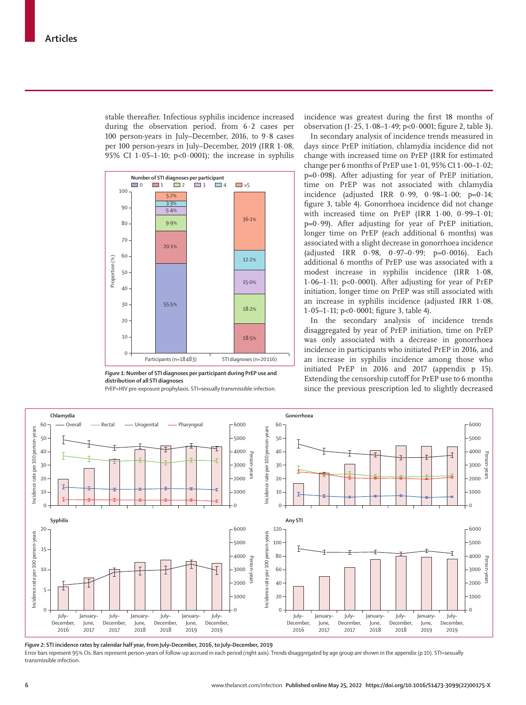stable thereafter. Infectious syphilis incidence increased during the observation period, from 6·2 cases per 100 person-years in July–December, 2016, to 9·8 cases per 100 person-years in July–December, 2019 (IRR 1·08, 95% CI  $1.05-1.10$ ; p<0.0001); the increase in syphilis



*Figure 1:***Number of STI diagnoses per participant during PrEP use and distribution of all STI diagnoses**

PrEP=HIV pre-exposure prophylaxis. STI=sexually transmissible infection.

incidence was greatest during the first 18 months of observation (1·25, 1·08–1·49; p<0·0001; figure 2, table 3).

In secondary analysis of incidence trends measured in days since PrEP initiation, chlamydia incidence did not change with increased time on PrEP (IRR for estimated change per 6 months of PrEP use 1·01, 95% CI 1·00–1·02;  $p=0.098$ ). After adjusting for year of PrEP initiation, time on PrEP was not associated with chlamydia incidence (adjusted IRR 0·99, 0·98–1·00; p=0·14; figure 3, table 4). Gonorrhoea incidence did not change with increased time on PrEP (IRR 1·00, 0·99–1·01;  $p=0.99$ ). After adjusting for year of PrEP initiation, longer time on PrEP (each additional 6 months) was associated with a slight decrease in gonorrhoea incidence (adjusted IRR 0·98, 0·97–0·99; p=0·0016). Each additional 6 months of PrEP use was associated with a modest increase in syphilis incidence (IRR 1·08, 1.06–1.11;  $p<0.0001$ ). After adjusting for year of PrEP initiation, longer time on PrEP was still associated with an increase in syphilis incidence (adjusted IRR 1·08, 1·05–1·11; p<0·0001; figure 3, table 4).

In the secondary analysis of incidence trends disaggregated by year of PrEP initiation, time on PrEP was only associated with a decrease in gonorrhoea incidence in participants who initiated PrEP in 2016, and an increase in syphilis incidence among those who initiated PrEP in 2016 and 2017 (appendix p 15). Extending the censorship cutoff for PrEP use to 6 months since the previous prescription led to slightly decreased



*Figure 2:* **STI incidence rates by calendar half year, from July–December, 2016, to July–December, 2019** Error bars represent 95% CIs. Bars represent person-years of follow-up accrued in each period (right axis). Trends disaggregated by age group are shown in the appendix (p 10). STI=sexually transmissible infection.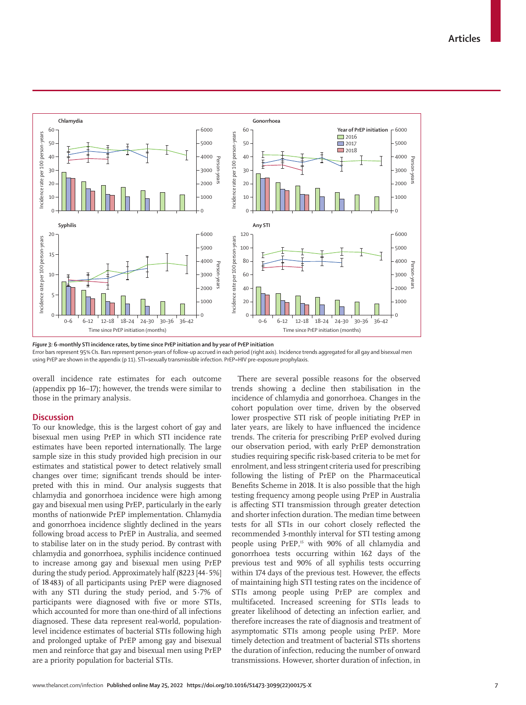

*Figure 3:* **6-monthly STI incidence rates, by time since PrEP initiation and by year of PrEP initiation**

Error bars represent 95% CIs. Bars represent person-years of follow-up accrued in each period (right axis). Incidence trends aggregated for all gay and bisexual men using PrEP are shown in the appendix (p 11). STI=sexually transmissible infection. PrEP=HIV pre-exposure prophylaxis.

overall incidence rate estimates for each outcome (appendix pp 16–17); however, the trends were similar to those in the primary analysis.

# **Discussion**

To our knowledge, this is the largest cohort of gay and bisexual men using PrEP in which STI incidence rate estimates have been reported internationally. The large sample size in this study provided high precision in our estimates and statistical power to detect relatively small changes over time; significant trends should be interpreted with this in mind. Our analysis suggests that chlamydia and gonorrhoea incidence were high among gay and bisexual men using PrEP, particularly in the early months of nationwide PrEP implementation. Chlamydia and gonorrhoea incidence slightly declined in the years following broad access to PrEP in Australia, and seemed to stabilise later on in the study period. By contrast with chlamydia and gonorrhoea, syphilis incidence continued to increase among gay and bisexual men using PrEP during the study period. Approximately half (8223 [44 · 5%] of 18483) of all participants using PrEP were diagnosed with any STI during the study period, and 5·7% of participants were diagnosed with five or more STIs, which accounted for more than one-third of all infections diagnosed. These data represent real-world, populationlevel incidence estimates of bacterial STIs following high and prolonged uptake of PrEP among gay and bisexual men and reinforce that gay and bisexual men using PrEP are a priority population for bacterial STIs.

There are several possible reasons for the observed trends showing a decline then stabilisation in the incidence of chlamydia and gonorrhoea. Changes in the cohort population over time, driven by the observed lower prospective STI risk of people initiating PrEP in later years, are likely to have influenced the incidence trends. The criteria for prescribing PrEP evolved during our observation period, with early PrEP demonstration studies requiring specific risk-based criteria to be met for enrolment, and less stringent criteria used for prescribing following the listing of PrEP on the Pharmaceutical Benefits Scheme in 2018. It is also possible that the high testing frequency among people using PrEP in Australia is affecting STI transmission through greater detection and shorter infection duration. The median time between tests for all STIs in our cohort closely reflected the recommended 3-monthly interval for STI testing among people using PrEP,<sup>15</sup> with 90% of all chlamydia and gonorrhoea tests occurring within 162 days of the previous test and 90% of all syphilis tests occurring within 174 days of the previous test. However, the effects of maintaining high STI testing rates on the incidence of STIs among people using PrEP are complex and multifaceted. Increased screening for STIs leads to greater likelihood of detecting an infection earlier, and therefore increases the rate of diagnosis and treatment of asymptomatic STIs among people using PrEP. More timely detection and treatment of bacterial STIs shortens the duration of infection, reducing the number of onward transmissions. However, shorter duration of infection, in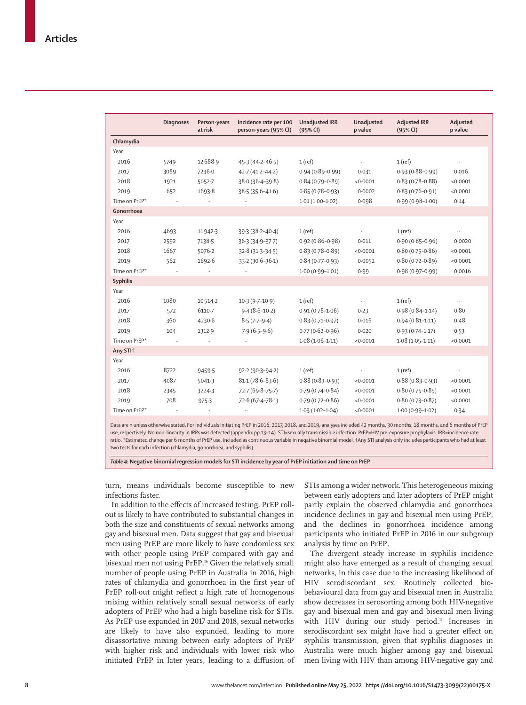|                 | <b>Diagnoses</b> | Person-years<br>at risk | Incidence rate per 100<br>person-years (95% CI) | <b>Unadjusted IRR</b><br>(95% CI) | Unadjusted<br>p value | <b>Adjusted IRR</b><br>(95% CI) | Adjusted<br>p value |
|-----------------|------------------|-------------------------|-------------------------------------------------|-----------------------------------|-----------------------|---------------------------------|---------------------|
| Chlamydia       |                  |                         |                                                 |                                   |                       |                                 |                     |
| Year            |                  |                         |                                                 |                                   |                       |                                 |                     |
| 2016            | 5749             | 12688.9                 | $45.3(44.2 - 46.5)$                             | $1$ (ref)                         | $\ddotsc$             | 1(ref)                          | $\ddotsc$           |
| 2017            | 3089             | 7236.0                  | $42.7(41.2 - 44.2)$                             | $0.94(0.89 - 0.99)$               | 0.031                 | $0.93(0.88 - 0.99)$             | 0.016               |
| 2018            | 1921             | 5052.7                  | 38.0 (36.4-39.8)                                | $0.84(0.79 - 0.89)$               | < 0.0001              | $0.83(0.78 - 0.88)$             | < 0.0001            |
| 2019            | 652              | 1693.8                  | $38.5(35.6 - 41.6)$                             | $0.85(0.78 - 0.93)$               | 0.0002                | $0.83(0.76 - 0.91)$             | < 0.0001            |
| Time on PrEP*   |                  |                         |                                                 | $1.01(1.00-1.02)$                 | 0.098                 | $0.99(0.98 - 1.00)$             | 0.14                |
| Gonorrhoea      |                  |                         |                                                 |                                   |                       |                                 |                     |
| Year            |                  |                         |                                                 |                                   |                       |                                 |                     |
| 2016            | 4693             | 11942-3                 | $39.3(38.2 - 40.4)$                             | $1$ (ref)                         | $\ddots$              | 1(ref)                          |                     |
| 2017            | 2592             | 7138.5                  | 36-3 (34-9-37-7)                                | $0.92(0.86 - 0.98)$               | 0.011                 | $0.90(0.85 - 0.96)$             | 0.0020              |
| 2018            | 1667             | 5076.2                  | $32.8(31.3 - 34.5)$                             | $0.83(0.78 - 0.89)$               | < 0.0001              | $0.80(0.75 - 0.86)$             | < 0.0001            |
| 2019            | 562              | 1692.6                  | 33-2 (30-6-36-1)                                | $0.84(0.77-0.93)$                 | 0.0052                | $0.80(0.72 - 0.89)$             | < 0.0001            |
| Time on PrEP*   |                  |                         |                                                 | $1.00(0.99 - 1.01)$               | 0.99                  | $0.98(0.97 - 0.99)$             | 0.0016              |
| <b>Syphilis</b> |                  |                         |                                                 |                                   |                       |                                 |                     |
| Year            |                  |                         |                                                 |                                   |                       |                                 |                     |
| 2016            | 1080             | 10514.2                 | $10.3(9.7-10.9)$                                | $1$ (ref)                         | $\ddotsc$             | 1(ref)                          | $\ldots$            |
| 2017            | 572              | 6110.7                  | $9.4(8.6-10.2)$                                 | $0.91(0.78 - 1.06)$               | 0.23                  | $0.98(0.84 - 1.14)$             | 0.80                |
| 2018            | 360              | 4230.6                  | $8.5(7.7-9.4)$                                  | $0.83(0.71 - 0.97)$               | 0.016                 | $0.94(0.81 - 1.11)$             | 0.48                |
| 2019            | 104              | 1312.9                  | $7.9(6.5-9.6)$                                  | $0.77(0.62 - 0.96)$               | 0.020                 | $0.93(0.74 - 1.17)$             | 0.53                |
| Time on PrEP*   |                  |                         |                                                 | $1.08(1.06 - 1.11)$               | < 0.0001              | $1.08(1.05 - 1.11)$             | < 0.0001            |
| Any STI+        |                  |                         |                                                 |                                   |                       |                                 |                     |
| Year            |                  |                         |                                                 |                                   |                       |                                 |                     |
| 2016            | 8722             | 9459.5                  | 92-2 (90-3-94-2)                                | 1(ref)                            | $\ldots$              | $1$ (ref)                       |                     |
| 2017            | 4087             | 5041.3                  | $81.1(78.6 - 83.6)$                             | $0.88(0.83 - 0.93)$               | < 0.0001              | $0.88(0.83 - 0.93)$             | < 0.0001            |
| 2018            | 2345             | 3224.3                  | 72.7 (69.8-75.7)                                | $0.79(0.74 - 0.84)$               | < 0.0001              | $0.80(0.75 - 0.85)$             | < 0.0001            |
| 2019            | 708              | 975.3                   | $72.6(67.4 - 78.1)$                             | $0.79(0.72 - 0.86)$               | < 0.0001              | $0.80(0.73 - 0.87)$             | < 0.0001            |
| Time on PrEP*   |                  |                         |                                                 | $1.03(1.02 - 1.04)$               | < 0.0001              | $1.00(0.99 - 1.02)$             | 0.34                |

Data are n unless otherwise stated. For individuals initiating PrEP in 2016, 2017, 2018, and 2019, analyses included 42 months, 30 months, 18 months, and 6 months of PrEP use, respectively. No non-linearity in IRRs was detected (appendix pp 13–14). STI=sexually transmissible infection. PrEP=HIV pre-exposure prophylaxis. IRR=incidence rate ratio. \*Estimated change per 6 months of PrEP use, included as continuous variable in negative binomial model. †Any STI analysis only includes participants who had at least two tests for each infection (chlamydia, gonorrhoea, and syphilis).

*Table 4:* **Negative binomial regression models for STI incidence by year of PrEP initiation and time on PrEP**

turn, means individuals become susceptible to new infections faster.

In addition to the effects of increased testing, PrEP rollout is likely to have contributed to substantial changes in both the size and constituents of sexual networks among gay and bisexual men. Data suggest that gay and bisexual men using PrEP are more likely to have condomless sex with other people using PrEP compared with gay and bisexual men not using PrEP.<sup>16</sup> Given the relatively small number of people using PrEP in Australia in 2016, high rates of chlamydia and gonorrhoea in the first year of PrEP roll-out might reflect a high rate of homogenous mixing within relatively small sexual networks of early adopters of PrEP who had a high baseline risk for STIs. As PrEP use expanded in 2017 and 2018, sexual networks are likely to have also expanded, leading to more disassortative mixing between early adopters of PrEP with higher risk and individuals with lower risk who initiated PrEP in later years, leading to a diffusion of STIs among a wider network. This heterogeneous mixing between early adopters and later adopters of PrEP might partly explain the observed chlamydia and gonorrhoea incidence declines in gay and bisexual men using PrEP, and the declines in gonorrhoea incidence among participants who initiated PrEP in 2016 in our subgroup analysis by time on PrEP.

The divergent steady increase in syphilis incidence might also have emerged as a result of changing sexual networks, in this case due to the increasing likelihood of HIV serodiscordant sex. Routinely collected biobehavioural data from gay and bisexual men in Australia show decreases in serosorting among both HIV-negative gay and bisexual men and gay and bisexual men living with HIV during our study period.<sup>17</sup> Increases in serodiscordant sex might have had a greater effect on syphilis transmission, given that syphilis diagnoses in Australia were much higher among gay and bisexual men living with HIV than among HIV-negative gay and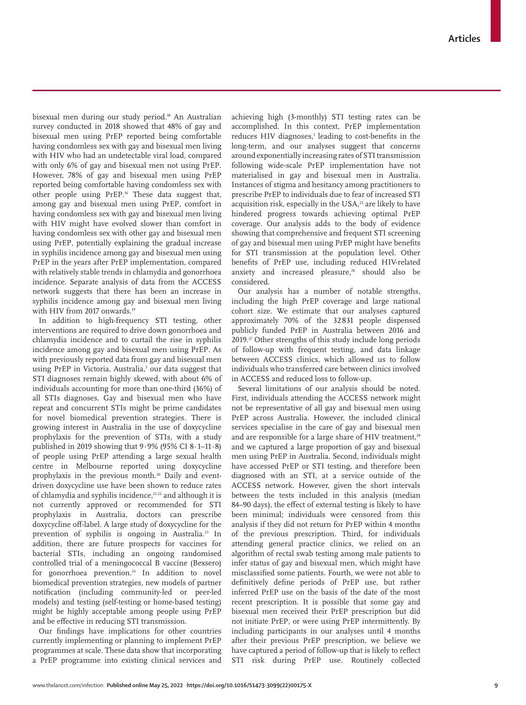bisexual men during our study period.18 An Australian survey conducted in 2018 showed that 48% of gay and bisexual men using PrEP reported being comfortable having condomless sex with gay and bisexual men living with HIV who had an undetectable viral load, compared with only 6% of gay and bisexual men not using PrEP. However, 78% of gay and bisexual men using PrEP reported being comfortable having condomless sex with other people using PrEP.16 These data suggest that, among gay and bisexual men using PrEP, comfort in having condomless sex with gay and bisexual men living with HIV might have evolved slower than comfort in having condomless sex with other gay and bisexual men using PrEP, potentially explaining the gradual increase in syphilis incidence among gay and bisexual men using PrEP in the years after PrEP implementation, compared with relatively stable trends in chlamydia and gonorrhoea incidence. Separate analysis of data from the ACCESS network suggests that there has been an increase in syphilis incidence among gay and bisexual men living with HIV from 2017 onwards.<sup>19</sup>

In addition to high-frequency STI testing, other interventions are required to drive down gonorrhoea and chlamydia incidence and to curtail the rise in syphilis incidence among gay and bisexual men using PrEP. As with previously reported data from gay and bisexual men using PrEP in Victoria, Australia,<sup>5</sup> our data suggest that STI diagnoses remain highly skewed, with about 6% of individuals accounting for more than one-third (36%) of all STIs diagnoses. Gay and bisexual men who have repeat and concurrent STIs might be prime candidates for novel biomedical prevention strategies. There is growing interest in Australia in the use of doxycycline prophylaxis for the prevention of STIs, with a study published in 2019 showing that 9·9% (95% CI 8·1–11·8) of people using PrEP attending a large sexual health centre in Melbourne reported using doxycycline prophylaxis in the previous month.<sup>20</sup> Daily and eventdriven doxycycline use have been shown to reduce rates of chlamydia and syphilis incidence,<sup>21,22</sup> and although it is not currently approved or recommended for STI prophylaxis in Australia, doctors can prescribe doxycycline off-label. A large study of doxycycline for the prevention of syphilis is ongoing in Australia.<sup>23</sup> In addition, there are future prospects for vaccines for bacterial STIs, including an ongoing randomised controlled trial of a meningococcal B vaccine (Bexsero) for gonorrhoea prevention.<sup>24</sup> In addition to novel biomedical prevention strategies, new models of partner notification (including community-led or peer-led models) and testing (self-testing or home-based testing) might be highly acceptable among people using PrEP and be effective in reducing STI transmission.

Our findings have implications for other countries currently implementing or planning to implement PrEP programmes at scale. These data show that incorporating a PrEP programme into existing clinical services and achieving high (3-monthly) STI testing rates can be accomplished. In this context, PrEP implementation reduces HIV diagnoses,<sup>1</sup> leading to cost-benefits in the long-term, and our analyses suggest that concerns around exponentially increasing rates of STI transmission following wide-scale PrEP implementation have not materialised in gay and bisexual men in Australia. Instances of stigma and hesitancy among practitioners to prescribe PrEP to individuals due to fear of increased STI acquisition risk, especially in the USA,<sup>25</sup> are likely to have hindered progress towards achieving optimal PrEP coverage. Our analysis adds to the body of evidence showing that comprehensive and frequent STI screening of gay and bisexual men using PrEP might have benefits for STI transmission at the population level. Other benefits of PrEP use, including reduced HIV-related anxiety and increased pleasure, $26$  should also be considered.

Our analysis has a number of notable strengths, including the high PrEP coverage and large national cohort size. We estimate that our analyses captured approximately 70% of the 32831 people dispensed publicly funded PrEP in Australia between 2016 and 2019.27 Other strengths of this study include long periods of follow-up with frequent testing, and data linkage between ACCESS clinics, which allowed us to follow individuals who transferred care between clinics involved in ACCESS and reduced loss to follow-up.

Several limitations of our analysis should be noted. First, individuals attending the ACCESS network might not be representative of all gay and bisexual men using PrEP across Australia. However, the included clinical services specialise in the care of gay and bisexual men and are responsible for a large share of HIV treatment,<sup>28</sup> and we captured a large proportion of gay and bisexual men using PrEP in Australia. Second, individuals might have accessed PrEP or STI testing, and therefore been diagnosed with an STI, at a service outside of the ACCESS network. However, given the short intervals between the tests included in this analysis (median 84–90 days), the effect of external testing is likely to have been minimal; individuals were censored from this analysis if they did not return for PrEP within 4 months of the previous prescription. Third, for individuals attending general practice clinics, we relied on an algorithm of rectal swab testing among male patients to infer status of gay and bisexual men, which might have misclassified some patients. Fourth, we were not able to definitively define periods of PrEP use, but rather inferred PrEP use on the basis of the date of the most recent prescription. It is possible that some gay and bisexual men received their PrEP prescription but did not initiate PrEP, or were using PrEP intermittently. By including participants in our analyses until 4 months after their previous PrEP prescription, we believe we have captured a period of follow-up that is likely to reflect STI risk during PrEP use. Routinely collected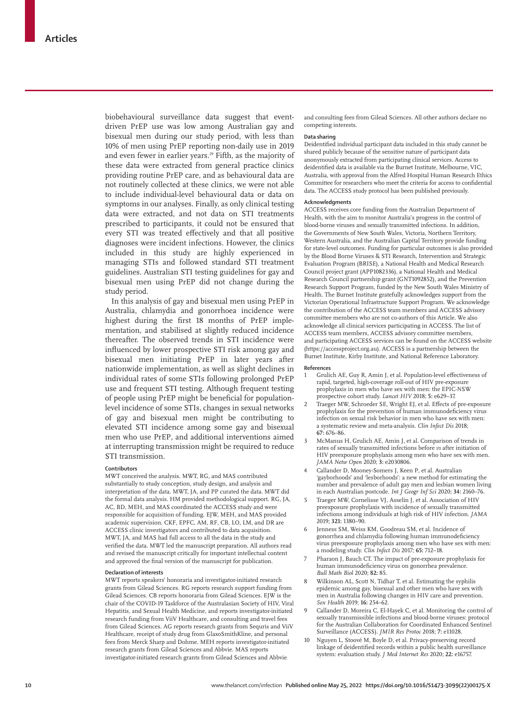biobehavioural surveillance data suggest that eventdriven PrEP use was low among Australian gay and bisexual men during our study period, with less than 10% of men using PrEP reporting non-daily use in 2019 and even fewer in earlier years.<sup>29</sup> Fifth, as the majority of these data were extracted from general practice clinics providing routine PrEP care, and as behavioural data are not routinely collected at these clinics, we were not able to include individual-level behavioural data or data on symptoms in our analyses. Finally, as only clinical testing data were extracted, and not data on STI treatments prescribed to participants, it could not be ensured that every STI was treated effectively and that all positive diagnoses were incident infections. However, the clinics included in this study are highly experienced in managing STIs and followed standard STI treatment guidelines. Australian STI testing guidelines for gay and bisexual men using PrEP did not change during the study period.

In this analysis of gay and bisexual men using PrEP in Australia, chlamydia and gonorrhoea incidence were highest during the first 18 months of PrEP implementation, and stabilised at slightly reduced incidence thereafter. The observed trends in STI incidence were influenced by lower prospective STI risk among gay and bisexual men initiating PrEP in later years after nationwide implementation, as well as slight declines in individual rates of some STIs following prolonged PrEP use and frequent STI testing. Although frequent testing of people using PrEP might be beneficial for populationlevel incidence of some STIs, changes in sexual networks of gay and bisexual men might be contributing to elevated STI incidence among some gay and bisexual men who use PrEP, and additional interventions aimed at interrupting transmission might be required to reduce STI transmission.

#### **Contributors**

MWT conceived the analysis. MWT, RG, and MAS contributed substantially to study conception, study design, and analysis and interpretation of the data. MWT, JA, and PP curated the data. MWT did the formal data analysis. HM provided methodological support. RG, JA, AC, BD, MEH, and MAS coordinated the ACCESS study and were responsible for acquisition of funding. EJW, MEH, and MAS provided academic supervision. CKF, EPFC, AM, RF, CB, LO, LM, and DR are ACCESS clinic investigators and contributed to data acquisition. MWT, JA, and MAS had full access to all the data in the study and verified the data. MWT led the manuscript preparation. All authors read and revised the manuscript critically for important intellectual content and approved the final version of the manuscript for publication.

### **Declaration of interests**

MWT reports speakers' honoraria and investigator-initiated research grants from Gilead Sciences. RG reports research support funding from Gilead Sciences. CB reports honoraria from Gilead Sciences. EJW is the chair of the COVID-19 Taskforce of the Australasian Society of HIV, Viral Hepatitis, and Sexual Health Medicine, and reports investigator-initiated research funding from ViiV Healthcare, and consulting and travel fees from Gilead Sciences. AG reports research grants from Sequris and ViiV Healthcare, receipt of study drug from GlaxoSmithKline, and personal fees from Merck Sharp and Dohme. MEH reports investigator-initiated research grants from Gilead Sciences and Abbvie. MAS reports investigator-initiated research grants from Gilead Sciences and Abbvie

and consulting fees from Gilead Sciences. All other authors declare no competing interests.

#### **Data sharing**

Deidentified individual participant data included in this study cannot be shared publicly because of the sensitive nature of participant data anonymously extracted from participating clinical services. Access to deidentified data is available via the Burnet Institute, Melbourne, VIC, Australia, with approval from the Alfred Hospital Human Research Ethics Committee for researchers who meet the criteria for access to confidential data. The ACCESS study protocol has been published previously.

# **Acknowledgments**

ACCESS receives core funding from the Australian Department of Health, with the aim to monitor Australia's progress in the control of blood-borne viruses and sexually transmitted infections. In addition, the Governments of New South Wales, Victoria, Northern Territory, Western Australia, and the Australian Capital Territory provide funding for state-level outcomes. Funding for particular outcomes is also provided by the Blood Borne Viruses & STI Research, Intervention and Strategic Evaluation Program (BRISE), a National Health and Medical Research Council project grant (APP1082336), a National Health and Medical Research Council partnership grant (GNT1092852), and the Prevention Research Support Program, funded by the New South Wales Ministry of Health. The Burnet Institute gratefully acknowledges support from the Victorian Operational Infrastructure Support Program. We acknowledge the contribution of the ACCESS team members and ACCESS advisory committee members who are not co-authors of this Article. We also acknowledge all clinical services participating in ACCESS. The list of ACCESS team members, ACCESS advisory committee members, and participating ACCESS services can be found on the ACCESS website (https://accessproject.org.au). ACCESS is a partnership between the Burnet Institute, Kirby Institute, and National Reference Laboratory.

#### **References**

- 1 Grulich AE, Guy R, Amin J, et al. Population-level effectiveness of rapid, targeted, high-coverage roll-out of HIV pre-exposure prophylaxis in men who have sex with men: the EPIC-NSW prospective cohort study. *Lancet HIV* 2018; **5:** e629–37.
- 2 Traeger MW, Schroeder SE, Wright EJ, et al. Effects of pre-exposure prophylaxis for the prevention of human immunodeficiency virus infection on sexual risk behavior in men who have sex with men: a systematic review and meta-analysis. *Clin Infect Dis* 2018; **67:** 676–86.
- 3 McManus H, Grulich AE, Amin J, et al. Comparison of trends in rates of sexually transmitted infections before *vs* after initiation of HIV preexposure prophylaxis among men who have sex with men. *JAMA Netw Open* 2020; **3:** e2030806.
- 4 Callander D, Mooney-Somers J, Keen P, et al. Australian 'gayborhoods' and 'lesborhoods': a new method for estimating the number and prevalence of adult gay men and lesbian women living in each Australian postcode. *Int J Geogr Inf Sci* 2020; **34:** 2160–76.
- 5 Traeger MW, Cornelisse VJ, Asselin J, et al. Association of HIV preexposure prophylaxis with incidence of sexually transmitted infections among individuals at high risk of HIV infection. *JAMA* 2019; **321:** 1380–90.
- 6 Jenness SM, Weiss KM, Goodreau SM, et al. Incidence of gonorrhea and chlamydia following human immunodeficiency virus preexposure prophylaxis among men who have sex with men: a modeling study. *Clin Infect Dis* 2017; **65:** 712–18.
- Pharaon J, Bauch CT. The impact of pre-exposure prophylaxis for human immunodeficiency virus on gonorrhea prevalence. *Bull Math Biol* 2020; **82:** 85.
- Wilkinson AL, Scott N, Tidhar T, et al. Estimating the syphilis epidemic among gay, bisexual and other men who have sex with men in Australia following changes in HIV care and prevention. *Sex Health* 2019; **16:** 254–62.
- 9 Callander D, Moreira C, El-Hayek C, et al. Monitoring the control of sexually transmissible infections and blood-borne viruses: protocol for the Australian Collaboration for Coordinated Enhanced Sentinel Surveillance (ACCESS). *JMIR Res Protoc* 2018; **7:** e11028.
- 10 Nguyen L, Stoové M, Boyle D, et al. Privacy-preserving record linkage of deidentified records within a public health surveillance system: evaluation study. *J Med Internet Res* 2020; **22:** e16757.